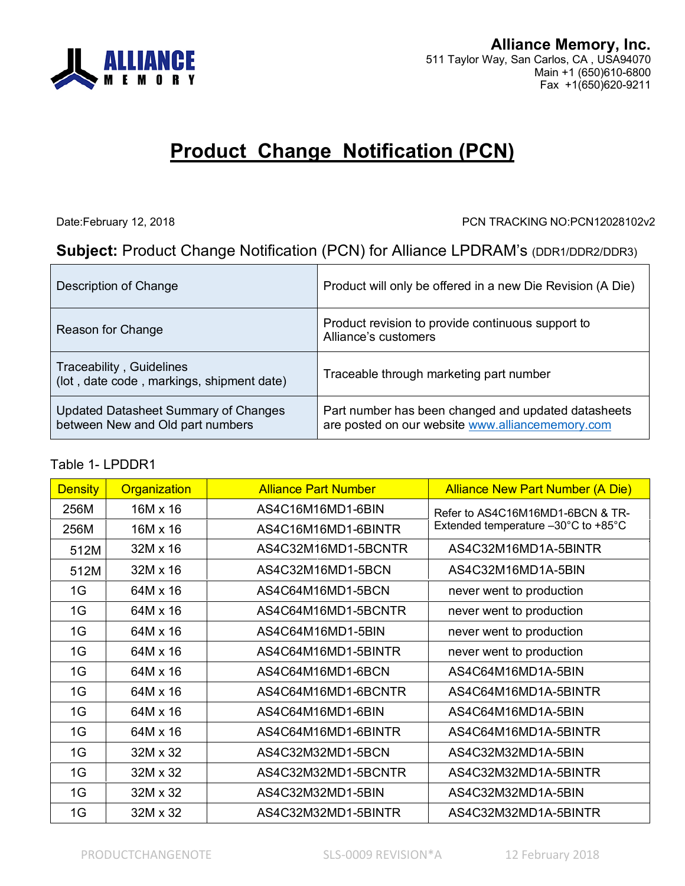

# **Product Change Notification (PCN)**

Date:February 12, 2018 PCN TRACKING NO:PCN12028102v2

## **Subject:** Product Change Notification (PCN) for Alliance LPDRAM's (DDR1/DDR2/DDR3)

| Description of Change                                                    | Product will only be offered in a new Die Revision (A Die)                                              |
|--------------------------------------------------------------------------|---------------------------------------------------------------------------------------------------------|
| Reason for Change                                                        | Product revision to provide continuous support to<br>Alliance's customers                               |
| Traceability, Guidelines<br>(lot, date code, markings, shipment date)    | Traceable through marketing part number                                                                 |
| Updated Datasheet Summary of Changes<br>between New and Old part numbers | Part number has been changed and updated datasheets<br>are posted on our website www.alliancememory.com |

#### Table 1- LPDDR1

| <b>Density</b> | Organization    | <b>Alliance Part Number</b> | <b>Alliance New Part Number (A Die)</b> |  |
|----------------|-----------------|-----------------------------|-----------------------------------------|--|
| 256M           | 16M x 16        | AS4C16M16MD1-6BIN           | Refer to AS4C16M16MD1-6BCN & TR-        |  |
| 256M           | $16M \times 16$ | AS4C16M16MD1-6BINTR         | Extended temperature -30°C to +85°C     |  |
| 512M           | $32M \times 16$ | AS4C32M16MD1-5BCNTR         | AS4C32M16MD1A-5BINTR                    |  |
| 512M           | $32M \times 16$ | AS4C32M16MD1-5BCN           | AS4C32M16MD1A-5BIN                      |  |
| 1G             | 64M x 16        | AS4C64M16MD1-5BCN           | never went to production                |  |
| 1G             | 64M x 16        | AS4C64M16MD1-5BCNTR         | never went to production                |  |
| 1G             | 64M x 16        | AS4C64M16MD1-5BIN           | never went to production                |  |
| 1G             | 64M x 16        | AS4C64M16MD1-5BINTR         | never went to production                |  |
| 1G             | 64M x 16        | AS4C64M16MD1-6BCN           | AS4C64M16MD1A-5BIN                      |  |
| 1G             | 64M x 16        | AS4C64M16MD1-6BCNTR         | AS4C64M16MD1A-5BINTR                    |  |
| 1G             | 64M x 16        | AS4C64M16MD1-6BIN           | AS4C64M16MD1A-5BIN                      |  |
| 1G             | 64M x 16        | AS4C64M16MD1-6BINTR         | AS4C64M16MD1A-5BINTR                    |  |
| 1G             | 32M x 32        | AS4C32M32MD1-5BCN           | AS4C32M32MD1A-5BIN                      |  |
| 1G             | 32M x 32        | AS4C32M32MD1-5BCNTR         | AS4C32M32MD1A-5BINTR                    |  |
| 1G             | 32M x 32        | AS4C32M32MD1-5BIN           | AS4C32M32MD1A-5BIN                      |  |
| 1G             | 32M x 32        | AS4C32M32MD1-5BINTR         | AS4C32M32MD1A-5BINTR                    |  |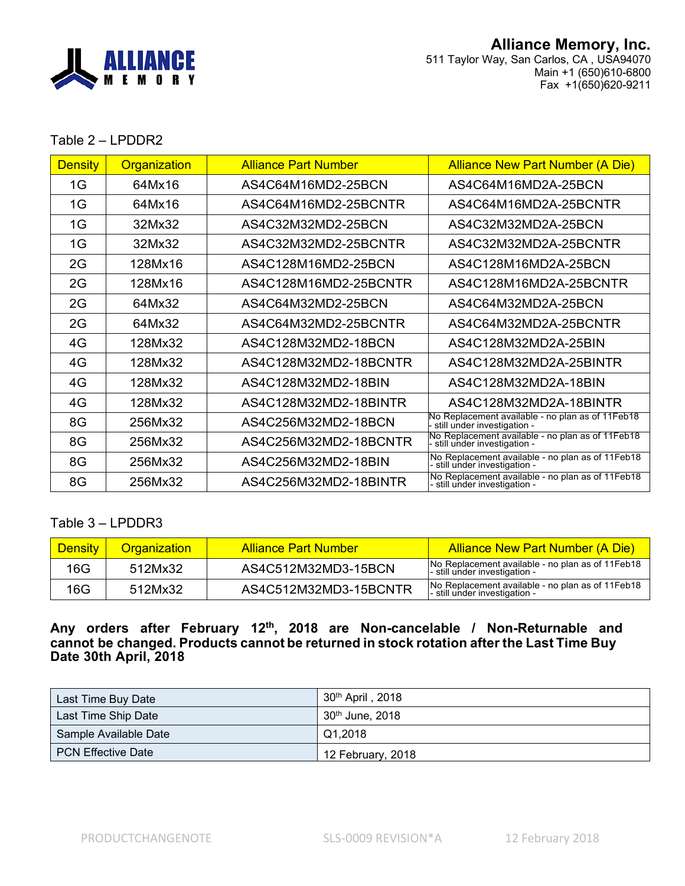

#### Table 2 – LPDDR2

| <b>Density</b> | Organization | <b>Alliance Part Number</b>                   | <b>Alliance New Part Number (A Die)</b>                                           |
|----------------|--------------|-----------------------------------------------|-----------------------------------------------------------------------------------|
| 1G             | 64Mx16       | AS4C64M16MD2-25BCN                            | AS4C64M16MD2A-25BCN                                                               |
| 1G             | 64Mx16       | AS4C64M16MD2-25BCNTR<br>AS4C64M16MD2A-25BCNTR |                                                                                   |
| 1G             | 32Mx32       | AS4C32M32MD2-25BCN                            | AS4C32M32MD2A-25BCN                                                               |
| 1G             | 32Mx32       | AS4C32M32MD2-25BCNTR                          | AS4C32M32MD2A-25BCNTR                                                             |
| 2G             | 128Mx16      | AS4C128M16MD2-25BCN                           | AS4C128M16MD2A-25BCN                                                              |
| 2G             | 128Mx16      | AS4C128M16MD2-25BCNTR                         | AS4C128M16MD2A-25BCNTR                                                            |
| 2G             | 64Mx32       | AS4C64M32MD2-25BCN                            | AS4C64M32MD2A-25BCN                                                               |
| 2G             | 64Mx32       | AS4C64M32MD2-25BCNTR                          | AS4C64M32MD2A-25BCNTR                                                             |
| 4G             | 128Mx32      | AS4C128M32MD2-18BCN                           | AS4C128M32MD2A-25BIN                                                              |
| 4G             | 128Mx32      | AS4C128M32MD2-18BCNTR                         | AS4C128M32MD2A-25BINTR                                                            |
| 4G             | 128Mx32      | AS4C128M32MD2-18BIN                           | AS4C128M32MD2A-18BIN                                                              |
| 4G             | 128Mx32      | AS4C128M32MD2-18BINTR                         | AS4C128M32MD2A-18BINTR                                                            |
| 8G             | 256Mx32      | AS4C256M32MD2-18BCN                           | No Replacement available - no plan as of 11 Feb 18<br>still under investigation - |
| 8G             | 256Mx32      | AS4C256M32MD2-18BCNTR                         | No Replacement available - no plan as of 11Feb18<br>- still under investigation - |
| 8G             | 256Mx32      | AS4C256M32MD2-18BIN                           | No Replacement available - no plan as of 11Feb18<br>- still under investigation - |
| 8G             | 256Mx32      | AS4C256M32MD2-18BINTR                         | No Replacement available - no plan as of 11Feb18<br>- still under investigation - |

### Table 3 – LPDDR3

| <b>Density</b> | <b>Organization</b> | Alliance Part Number  | Alliance New Part Number (A Die)                                                  |
|----------------|---------------------|-----------------------|-----------------------------------------------------------------------------------|
| 16G            | 512Mx32             | AS4C512M32MD3-15BCN   | No Replacement available - no plan as of 11Feb18<br>- still under investigation - |
| 16G            | 512Mx32             | AS4C512M32MD3-15BCNTR | No Replacement available - no plan as of 11Feb18<br>- still under investigation - |

#### **Any orders after February 12 th , 2018 are Non-cancelable / Non-Returnable and cannot be changed. Products cannot be returned in stock rotation after the Last Time Buy Date 30th April, 2018**

| Last Time Buy Date        | $30th$ April, 2018          |
|---------------------------|-----------------------------|
| Last Time Ship Date       | 30 <sup>th</sup> June, 2018 |
| Sample Available Date     | Q1.2018                     |
| <b>PCN Effective Date</b> | 12 February, 2018           |